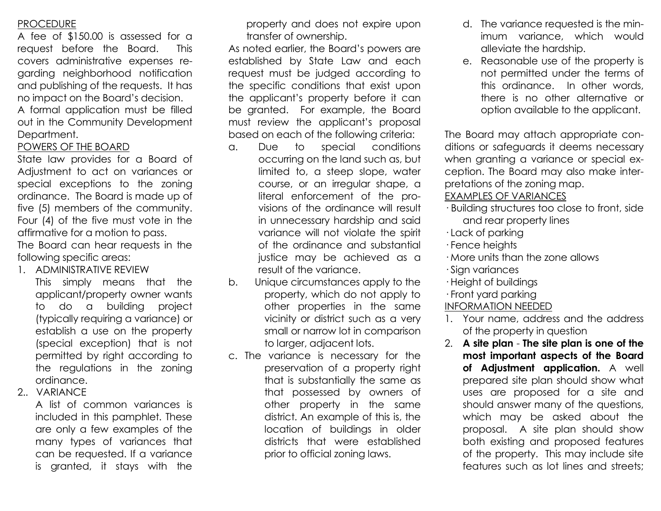## **PROCEDURE**

A fee of \$150.00 is assessed for a request before the Board. This covers administrative expenses regarding neighborhood notification and publishing of the requests. It has no impact on the Board's decision.

A formal application must be filled out in the Community Development Department.

## POWERS OF THE BOARD

State law provides for a Board of Adjustment to act on variances or special exceptions to the zoning ordinance. The Board is made up of five (5) members of the community. Four (4) of the five must vote in the affirmative for a motion to pass. The Board can hear requests in the following specific areas:

1. ADMINISTRATIVE REVIEW

This simply means that the applicant/property owner wants to do a building project (typically requiring a variance) or establish a use on the property (special exception) that is not permitted by right according to the regulations in the zoning ordinance.

2.. VARIANCE

A list of common variances is included in this pamphlet. These are only a few examples of the many types of variances that can be requested. If a variance is granted, it stays with the

property and does not expire upon transfer of ownership.

As noted earlier, the Board's powers are established by State Law and each request must be judged according to the specific conditions that exist upon the applicant's property before it can be granted. For example, the Board must review the applicant's proposal based on each of the following criteria:

- a. Due to special conditions occurring on the land such as, but limited to, a steep slope, water course, or an irregular shape, a literal enforcement of the provisions of the ordinance will result in unnecessary hardship and said variance will not violate the spirit of the ordinance and substantial justice may be achieved as a result of the variance.
- b. Unique circumstances apply to the property, which do not apply to other properties in the same vicinity or district such as a very small or narrow lot in comparison to larger, adjacent lots.
- c. The variance is necessary for the preservation of a property right that is substantially the same as that possessed by owners of other property in the same district. An example of this is, the location of buildings in older districts that were established prior to official zoning laws.
- d. The variance requested is the minimum variance, which would alleviate the hardship.
- e. Reasonable use of the property is not permitted under the terms of this ordinance. In other words, there is no other alternative or option available to the applicant.

The Board may attach appropriate conditions or safeguards it deems necessary when granting a variance or special exception. The Board may also make interpretations of the zoning map.

### EXAMPLES OF VARIANCES

- · Building structures too close to front, side and rear property lines
- · Lack of parking
- · Fence heights
- · More units than the zone allows
- · Sign variances
- · Height of buildings
- · Front yard parking

## INFORMATION NEEDED

- 1. Your name, address and the address of the property in question
- 2. **A site plan The site plan is one of the most important aspects of the Board of Adjustment application.** A well prepared site plan should show what uses are proposed for a site and should answer many of the questions, which may be asked about the proposal. A site plan should show both existing and proposed features of the property. This may include site features such as lot lines and streets;